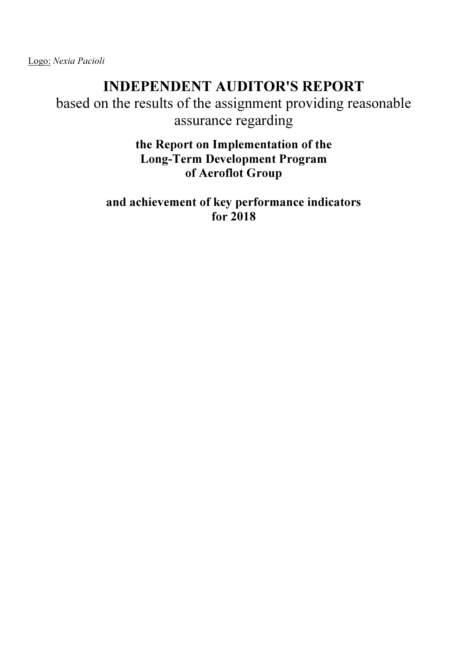Logo: Nexia Pacioli

# INDEPENDENT AUDITOR'S REPORT

based on the results of the assignment providing reasonable assurance regarding

> the Report on Implementation of the Long-Term Development Program of Aeroflot Group

and achievement of key performance indicators for 2018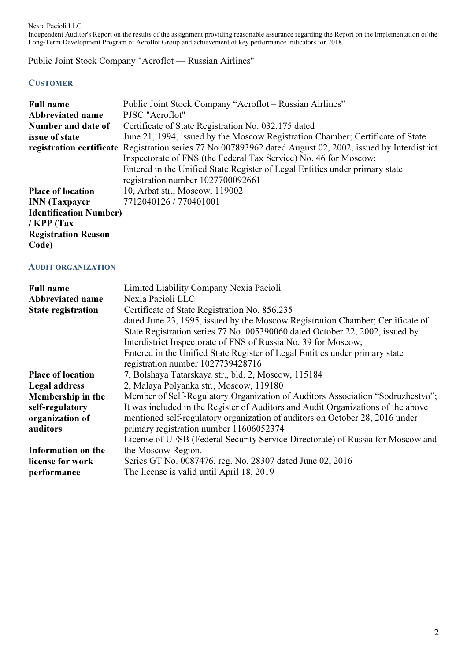Public Joint Stock Company "Aeroflot — Russian Airlines"

# **CUSTOMER**

| <b>Full name</b>              | Public Joint Stock Company "Aeroflot - Russian Airlines"                                                                                                                                                                                                       |
|-------------------------------|----------------------------------------------------------------------------------------------------------------------------------------------------------------------------------------------------------------------------------------------------------------|
| Abbreviated name              | PJSC "Aeroflot"                                                                                                                                                                                                                                                |
| Number and date of            | Certificate of State Registration No. 032.175 dated                                                                                                                                                                                                            |
| issue of state                | June 21, 1994, issued by the Moscow Registration Chamber; Certificate of State                                                                                                                                                                                 |
|                               | registration certificate Registration series 77 No.007893962 dated August 02, 2002, issued by Interdistrict<br>Inspectorate of FNS (the Federal Tax Service) No. 46 for Moscow;<br>Entered in the Unified State Register of Legal Entities under primary state |
|                               | registration number 1027700092661                                                                                                                                                                                                                              |
| <b>Place of location</b>      | 10, Arbat str., Moscow, 119002                                                                                                                                                                                                                                 |
| <b>INN</b> (Taxpayer          | 7712040126 / 770401001                                                                                                                                                                                                                                         |
| <b>Identification Number)</b> |                                                                                                                                                                                                                                                                |
| / $KPP$ (Tax                  |                                                                                                                                                                                                                                                                |
| <b>Registration Reason</b>    |                                                                                                                                                                                                                                                                |
| Code)                         |                                                                                                                                                                                                                                                                |

#### AUDIT ORGANIZATION

| <b>Full name</b><br>Abbreviated name | Limited Liability Company Nexia Pacioli<br>Nexia Pacioli LLC                                                                                                   |
|--------------------------------------|----------------------------------------------------------------------------------------------------------------------------------------------------------------|
| <b>State registration</b>            | Certificate of State Registration No. 856.235                                                                                                                  |
|                                      | dated June 23, 1995, issued by the Moscow Registration Chamber; Certificate of<br>State Registration series 77 No. 005390060 dated October 22, 2002, issued by |
|                                      | Interdistrict Inspectorate of FNS of Russia No. 39 for Moscow;                                                                                                 |
|                                      | Entered in the Unified State Register of Legal Entities under primary state                                                                                    |
|                                      | registration number 1027739428716                                                                                                                              |
| <b>Place of location</b>             | 7, Bolshaya Tatarskaya str., bld. 2, Moscow, 115184                                                                                                            |
| Legal address                        | 2, Malaya Polyanka str., Moscow, 119180                                                                                                                        |
| Membership in the                    | Member of Self-Regulatory Organization of Auditors Association "Sodruzhestvo";                                                                                 |
| self-regulatory                      | It was included in the Register of Auditors and Audit Organizations of the above                                                                               |
| organization of                      | mentioned self-regulatory organization of auditors on October 28, 2016 under                                                                                   |
| auditors                             | primary registration number 11606052374                                                                                                                        |
|                                      | License of UFSB (Federal Security Service Directorate) of Russia for Moscow and                                                                                |
| Information on the                   | the Moscow Region.                                                                                                                                             |
| license for work                     | Series GT No. 0087476, reg. No. 28307 dated June 02, 2016                                                                                                      |
| performance                          | The license is valid until April 18, 2019                                                                                                                      |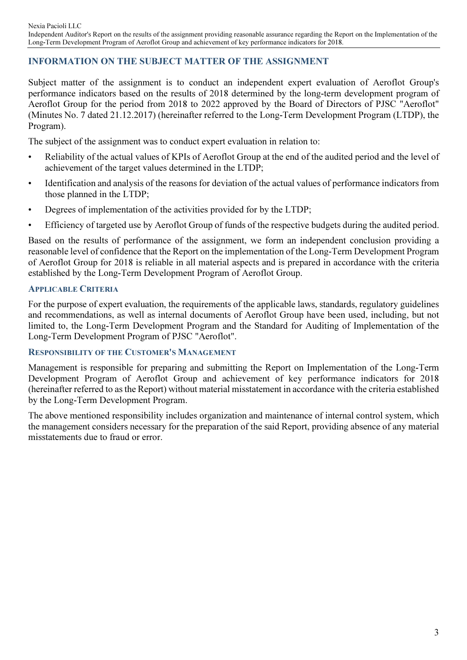# INFORMATION ON THE SUBJECT MATTER OF THE ASSIGNMENT

Subject matter of the assignment is to conduct an independent expert evaluation of Aeroflot Group's performance indicators based on the results of 2018 determined by the long-term development program of Aeroflot Group for the period from 2018 to 2022 approved by the Board of Directors of PJSC "Aeroflot" (Minutes No. 7 dated 21.12.2017) (hereinafter referred to the Long-Term Development Program (LTDP), the Program).

The subject of the assignment was to conduct expert evaluation in relation to:

- Reliability of the actual values of KPIs of Aeroflot Group at the end of the audited period and the level of achievement of the target values determined in the LTDP;
- Identification and analysis of the reasons for deviation of the actual values of performance indicators from those planned in the LTDP;
- Degrees of implementation of the activities provided for by the LTDP;
- Efficiency of targeted use by Aeroflot Group of funds of the respective budgets during the audited period.

Based on the results of performance of the assignment, we form an independent conclusion providing a reasonable level of confidence that the Report on the implementation of the Long-Term Development Program of Aeroflot Group for 2018 is reliable in all material aspects and is prepared in accordance with the criteria established by the Long-Term Development Program of Aeroflot Group.

#### APPLICABLE CRITERIA

For the purpose of expert evaluation, the requirements of the applicable laws, standards, regulatory guidelines and recommendations, as well as internal documents of Aeroflot Group have been used, including, but not limited to, the Long-Term Development Program and the Standard for Auditing of Implementation of the Long-Term Development Program of PJSC "Aeroflot".

### RESPONSIBILITY OF THE CUSTOMER'S MANAGEMENT

Management is responsible for preparing and submitting the Report on Implementation of the Long-Term Development Program of Aeroflot Group and achievement of key performance indicators for 2018 (hereinafter referred to as the Report) without material misstatement in accordance with the criteria established by the Long-Term Development Program.

The above mentioned responsibility includes organization and maintenance of internal control system, which the management considers necessary for the preparation of the said Report, providing absence of any material misstatements due to fraud or error.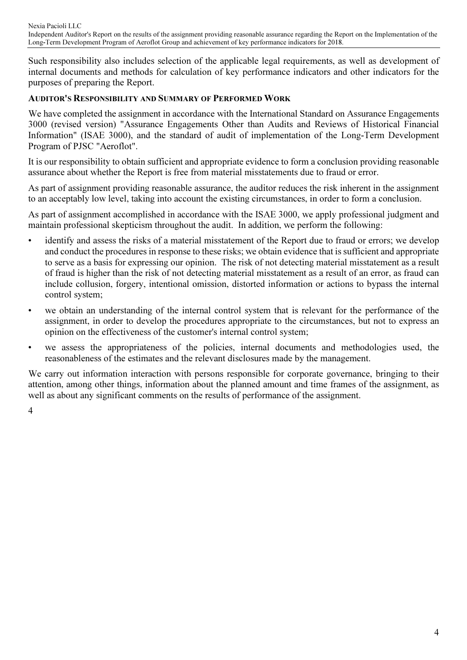Such responsibility also includes selection of the applicable legal requirements, as well as development of internal documents and methods for calculation of key performance indicators and other indicators for the purposes of preparing the Report.

# AUDITOR'S RESPONSIBILITY AND SUMMARY OF PERFORMED WORK

We have completed the assignment in accordance with the International Standard on Assurance Engagements 3000 (revised version) "Assurance Engagements Other than Audits and Reviews of Historical Financial Information" (ISAE 3000), and the standard of audit of implementation of the Long-Term Development Program of PJSC "Aeroflot".

It is our responsibility to obtain sufficient and appropriate evidence to form a conclusion providing reasonable assurance about whether the Report is free from material misstatements due to fraud or error.

As part of assignment providing reasonable assurance, the auditor reduces the risk inherent in the assignment to an acceptably low level, taking into account the existing circumstances, in order to form a conclusion.

As part of assignment accomplished in accordance with the ISAE 3000, we apply professional judgment and maintain professional skepticism throughout the audit. In addition, we perform the following:

- identify and assess the risks of a material misstatement of the Report due to fraud or errors; we develop and conduct the procedures in response to these risks; we obtain evidence that is sufficient and appropriate to serve as a basis for expressing our opinion. The risk of not detecting material misstatement as a result of fraud is higher than the risk of not detecting material misstatement as a result of an error, as fraud can include collusion, forgery, intentional omission, distorted information or actions to bypass the internal control system;
- we obtain an understanding of the internal control system that is relevant for the performance of the assignment, in order to develop the procedures appropriate to the circumstances, but not to express an opinion on the effectiveness of the customer's internal control system;
- we assess the appropriateness of the policies, internal documents and methodologies used, the reasonableness of the estimates and the relevant disclosures made by the management.

We carry out information interaction with persons responsible for corporate governance, bringing to their attention, among other things, information about the planned amount and time frames of the assignment, as well as about any significant comments on the results of performance of the assignment.

4